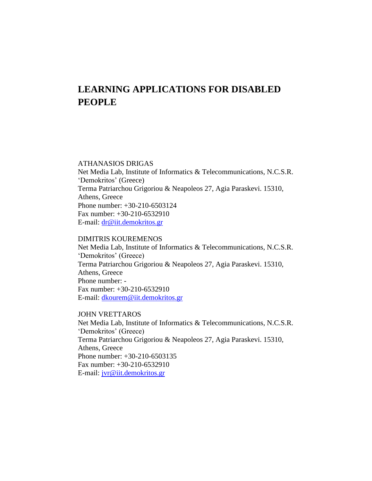# **LEARNING APPLICATIONS FOR DISABLED PEOPLE**

## ATHANASIOS DRIGAS

Net Media Lab, Institute of Informatics & Telecommunications, N.C.S.R. "Demokritos" (Greece) Terma Patriarchou Grigoriou & Neapoleos 27, Agia Paraskevi. 15310, Athens, Greece Phone number: +30-210-6503124 Fax number: +30-210-6532910 E-mail: [dr@iit.demokritos.gr](mailto:dr@iit.demokritos.gr)

#### DIMITRIS KOUREMENOS

Net Media Lab, Institute of Informatics & Telecommunications, N.C.S.R. "Demokritos" (Greece) Terma Patriarchou Grigoriou & Neapoleos 27, Agia Paraskevi. 15310, Athens, Greece Phone number: - Fax number: +30-210-6532910 E-mail: [dkourem@iit.demokritos.gr](mailto:dkourem@iit.demokritos.gr)

## JOHN VRETTAROS

Net Media Lab, Institute of Informatics & Telecommunications, N.C.S.R. "Demokritos" (Greece) Terma Patriarchou Grigoriou & Neapoleos 27, Agia Paraskevi. 15310, Athens, Greece Phone number: +30-210-6503135 Fax number: +30-210-6532910 E-mail: [jvr@iit.demokritos.gr](mailto:jvr@iit.demokritos.gr)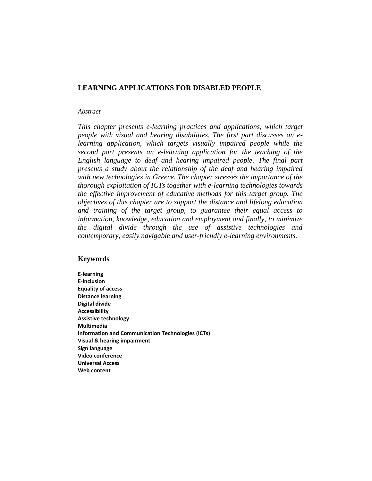## **LEARNING APPLICATIONS FOR DISABLED PEOPLE**

#### *Abstract*

*This chapter presents e-learning practices and applications, which target people with visual and hearing disabilities. The first part discusses an elearning application, which targets visually impaired people while the second part presents an e-learning application for the teaching of the English language to deaf and hearing impaired people. The final part presents a study about the relationship of the deaf and hearing impaired with new technologies in Greece. The chapter stresses the importance of the thorough exploitation of ICTs together with e-learning technologies towards the effective improvement of educative methods for this target group. The objectives of this chapter are to support the distance and lifelong education and training of the target group, to guarantee their equal access to information, knowledge, education and employment and finally, to minimize the digital divide through the use of assistive technologies and contemporary, easily navigable and user-friendly e-learning environments.*

#### **Keywords**

**E-learning E-inclusion Equality of access Distance learning Digital divide Accessibility Assistive technology Multimedia Information and Communication Technologies (ICTs) Visual & hearing impairment Sign language Video conference Universal Access Web content**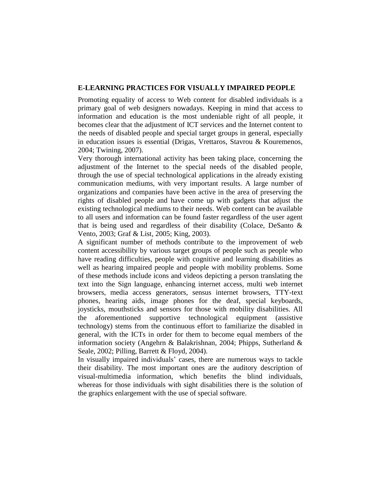## **E-LEARNING PRACTICES FOR VISUALLY IMPAIRED PEOPLE**

Promoting equality of access to Web content for disabled individuals is a primary goal of web designers nowadays. Keeping in mind that access to information and education is the most undeniable right of all people, it becomes clear that the adjustment of ICT services and the Internet content to the needs of disabled people and special target groups in general, especially in education issues is essential (Drigas, Vrettaros, Stavrou & Kouremenos, 2004; Twining, 2007).

Very thorough international activity has been taking place, concerning the adjustment of the Internet to the special needs of the disabled people, through the use of special technological applications in the already existing communication mediums, with very important results. A large number of organizations and companies have been active in the area of preserving the rights of disabled people and have come up with gadgets that adjust the existing technological mediums to their needs. Web content can be available to all users and information can be found faster regardless of the user agent that is being used and regardless of their disability (Colace, DeSanto & Vento, 2003; Graf & List, 2005; King, 2003).

A significant number of methods contribute to the improvement of web content accessibility by various target groups of people such as people who have reading difficulties, people with cognitive and learning disabilities as well as hearing impaired people and people with mobility problems. Some of these methods include icons and videos depicting a person translating the text into the Sign language, enhancing internet access, multi web internet browsers, media access generators, sensus internet browsers, ΤΤΥ-text phones, hearing aids, image phones for the deaf, special keyboards, joysticks, mouthsticks and sensors for those with mobility disabilities. All the aforementioned supportive technological equipment (assistive technology) stems from the continuous effort to familiarize the disabled in general, with the ICTs in order for them to become equal members of the information society (Angehrn & Balakrishnan, 2004; Phipps, Sutherland & Seale, 2002; Pilling, Barrett & Floyd, 2004).

In visually impaired individuals' cases, there are numerous ways to tackle their disability. The most important ones are the auditory description of visual-multimedia information, which benefits the blind individuals, whereas for those individuals with sight disabilities there is the solution of the graphics enlargement with the use of special software.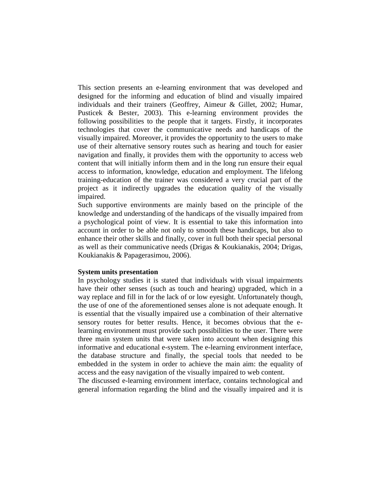This section presents an e-learning environment that was developed and designed for the informing and education of blind and visually impaired individuals and their trainers (Geoffrey, Aimeur & Gillet, 2002; Humar, Pusticek & Bester, 2003). This e-learning environment provides the following possibilities to the people that it targets. Firstly, it incorporates technologies that cover the communicative needs and handicaps of the visually impaired. Moreover, it provides the opportunity to the users to make use of their alternative sensory routes such as hearing and touch for easier navigation and finally, it provides them with the opportunity to access web content that will initially inform them and in the long run ensure their equal access to information, knowledge, education and employment. The lifelong training-education of the trainer was considered a very crucial part of the project as it indirectly upgrades the education quality of the visually impaired.

Such supportive environments are mainly based on the principle of the knowledge and understanding of the handicaps of the visually impaired from a psychological point of view. It is essential to take this information into account in order to be able not only to smooth these handicaps, but also to enhance their other skills and finally, cover in full both their special personal as well as their communicative needs (Drigas & Koukianakis, 2004; Drigas, Koukianakis & Papagerasimou, 2006).

#### **System units presentation**

In psychology studies it is stated that individuals with visual impairments have their other senses (such as touch and hearing) upgraded, which in a way replace and fill in for the lack of or low eyesight. Unfortunately though, the use of one of the aforementioned senses alone is not adequate enough. It is essential that the visually impaired use a combination of their alternative sensory routes for better results. Hence, it becomes obvious that the elearning environment must provide such possibilities to the user. There were three main system units that were taken into account when designing this informative and educational e-system. The e-learning environment interface, the database structure and finally, the special tools that needed to be embedded in the system in order to achieve the main aim: the equality of access and the easy navigation of the visually impaired to web content.

The discussed e-learning environment interface, contains technological and general information regarding the blind and the visually impaired and it is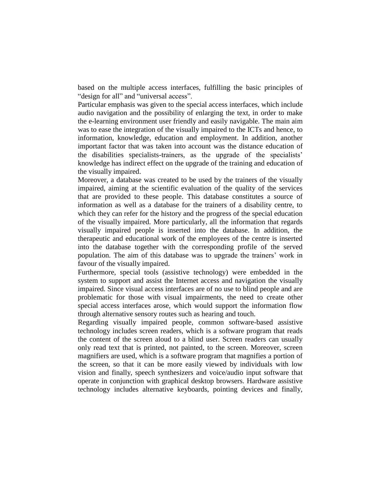based on the multiple access interfaces, fulfilling the basic principles of "design for all" and "universal access".

Particular emphasis was given to the special access interfaces, which include audio navigation and the possibility of enlarging the text, in order to make the e-learning environment user friendly and easily navigable. The main aim was to ease the integration of the visually impaired to the ICTs and hence, to information, knowledge, education and employment. In addition, another important factor that was taken into account was the distance education of the disabilities specialists-trainers, as the upgrade of the specialists" knowledge has indirect effect on the upgrade of the training and education of the visually impaired.

Moreover, a database was created to be used by the trainers of the visually impaired, aiming at the scientific evaluation of the quality of the services that are provided to these people. This database constitutes a source of information as well as a database for the trainers of a disability centre, to which they can refer for the history and the progress of the special education of the visually impaired. More particularly, all the information that regards visually impaired people is inserted into the database. In addition, the therapeutic and educational work of the employees of the centre is inserted into the database together with the corresponding profile of the served population. The aim of this database was to upgrade the trainers" work in favour of the visually impaired.

Furthermore, special tools (assistive technology) were embedded in the system to support and assist the Internet access and navigation the visually impaired. Since visual access interfaces are of no use to blind people and are problematic for those with visual impairments, the need to create other special access interfaces arose, which would support the information flow through alternative sensory routes such as hearing and touch.

Regarding visually impaired people, common software-based assistive technology includes screen readers, which is a software program that reads the content of the screen aloud to a blind user. Screen readers can usually only read text that is printed, not painted, to the screen. Moreover, screen magnifiers are used, which is a software program that magnifies a portion of the screen, so that it can be more easily viewed by individuals with low vision and finally, speech synthesizers and voice/audio input software that operate in conjunction with graphical desktop browsers. Hardware assistive technology includes alternative keyboards, pointing devices and finally,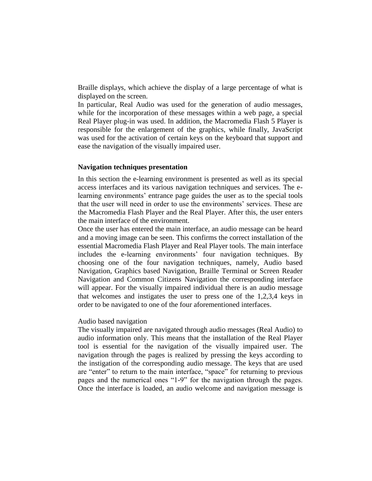Braille displays, which achieve the display of a large percentage of what is displayed on the screen.

In particular, Real Audio was used for the generation of audio messages, while for the incorporation of these messages within a web page, a special Real Player plug-in was used. In addition, the Macromedia Flash 5 Player is responsible for the enlargement of the graphics, while finally, JavaScript was used for the activation of certain keys on the keyboard that support and ease the navigation of the visually impaired user.

#### **Navigation techniques presentation**

In this section the e-learning environment is presented as well as its special access interfaces and its various navigation techniques and services. The elearning environments' entrance page guides the user as to the special tools that the user will need in order to use the environments" services. These are the Macromedia Flash Player and the Real Player. After this, the user enters the main interface of the environment.

Once the user has entered the main interface, an audio message can be heard and a moving image can be seen. This confirms the correct installation of the essential Macromedia Flash Player and Real Player tools. The main interface includes the e-learning environments' four navigation techniques. By choosing one of the four navigation techniques, namely, Audio based Navigation, Graphics based Navigation, Braille Terminal or Screen Reader Navigation and Common Citizens Navigation the corresponding interface will appear. For the visually impaired individual there is an audio message that welcomes and instigates the user to press one of the 1,2,3,4 keys in order to be navigated to one of the four aforementioned interfaces.

#### Audio based navigation

The visually impaired are navigated through audio messages (Real Audio) to audio information only. This means that the installation of the Real Player tool is essential for the navigation of the visually impaired user. The navigation through the pages is realized by pressing the keys according to the instigation of the corresponding audio message. The keys that are used are "enter" to return to the main interface, "space" for returning to previous pages and the numerical ones "1-9" for the navigation through the pages. Once the interface is loaded, an audio welcome and navigation message is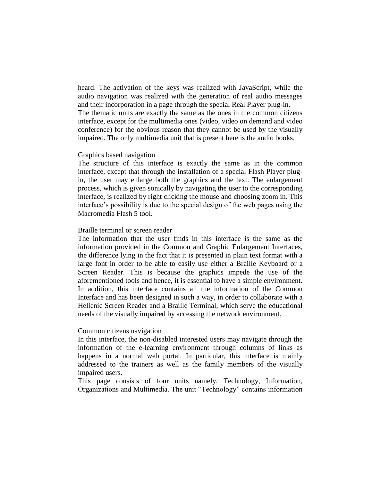heard. The activation of the keys was realized with JavaScript, while the audio navigation was realized with the generation of real audio messages and their incorporation in a page through the special Real Player plug-in. The thematic units are exactly the same as the ones in the common citizens interface, except for the multimedia ones (video, video on demand and video conference) for the obvious reason that they cannot be used by the visually impaired. The only multimedia unit that is present here is the audio books.

## Graphics based navigation

The structure of this interface is exactly the same as in the common interface, except that through the installation of a special Flash Player plugin, the user may enlarge both the graphics and the text. The enlargement process, which is given sonically by navigating the user to the corresponding interface, is realized by right clicking the mouse and choosing zoom in. This interface"s possibility is due to the special design of the web pages using the Macromedia Flash 5 tool.

## Braille terminal or screen reader

The information that the user finds in this interface is the same as the information provided in the Common and Graphic Enlargement Interfaces, the difference lying in the fact that it is presented in plain text format with a large font in order to be able to easily use either a Braille Keyboard or a Screen Reader. This is because the graphics impede the use of the aforementioned tools and hence, it is essential to have a simple environment. In addition, this interface contains all the information of the Common Interface and has been designed in such a way, in order to collaborate with a Hellenic Screen Reader and a Braille Terminal, which serve the educational needs of the visually impaired by accessing the network environment.

## Common citizens navigation

In this interface, the non-disabled interested users may navigate through the information of the e-learning environment through columns of links as happens in a normal web portal. In particular, this interface is mainly addressed to the trainers as well as the family members of the visually impaired users.

This page consists of four units namely, Technology, Information, Organizations and Multimedia. The unit "Technology" contains information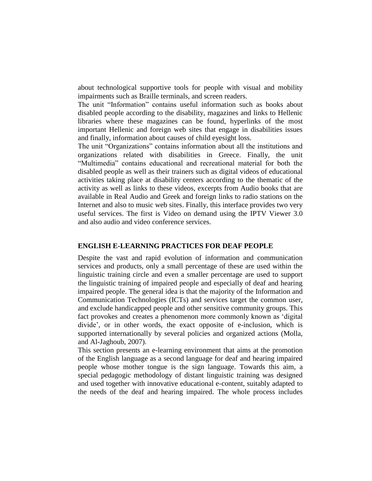about technological supportive tools for people with visual and mobility impairments such as Braille terminals, and screen readers.

The unit "Information" contains useful information such as books about disabled people according to the disability, magazines and links to Hellenic libraries where these magazines can be found, hyperlinks of the most important Hellenic and foreign web sites that engage in disabilities issues and finally, information about causes of child eyesight loss.

The unit "Organizations" contains information about all the institutions and organizations related with disabilities in Greece. Finally, the unit "Multimedia" contains educational and recreational material for both the disabled people as well as their trainers such as digital videos of educational activities taking place at disability centers according to the thematic of the activity as well as links to these videos, excerpts from Audio books that are available in Real Audio and Greek and foreign links to radio stations on the Internet and also to music web sites. Finally, this interface provides two very useful services. The first is Video on demand using the IPTV Viewer 3.0 and also audio and video conference services.

#### **ENGLISH E-LEARNING PRACTICES FOR DEAF PEOPLE**

Despite the vast and rapid evolution of information and communication services and products, only a small percentage of these are used within the linguistic training circle and even a smaller percentage are used to support the linguistic training of impaired people and especially of deaf and hearing impaired people. The general idea is that the majority of the Information and Communication Technologies (ICTs) and services target the common user, and exclude handicapped people and other sensitive community groups. This fact provokes and creates a phenomenon more commonly known as "digital divide", or in other words, the exact opposite of e-inclusion, which is supported internationally by several policies and organized actions (Molla, and Al-Jaghoub, 2007).

This section presents an e-learning environment that aims at the promotion of the English language as a second language for deaf and hearing impaired people whose mother tongue is the sign language. Towards this aim, a special pedagogic methodology of distant linguistic training was designed and used together with innovative educational e-content, suitably adapted to the needs of the deaf and hearing impaired. The whole process includes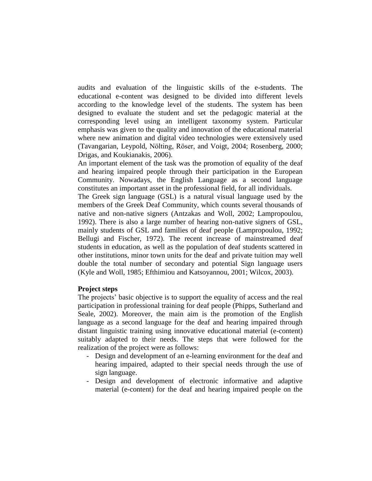audits and evaluation of the linguistic skills of the e-students. The educational e-content was designed to be divided into different levels according to the knowledge level of the students. The system has been designed to evaluate the student and set the pedagogic material at the corresponding level using an intelligent taxonomy system. Particular emphasis was given to the quality and innovation of the educational material where new animation and digital video technologies were extensively used (Tavangarian, Leypold, Nölting, Röser, and Voigt, 2004; Rosenberg, 2000; Drigas, and Koukianakis, 2006).

An important element of the task was the promotion of equality of the deaf and hearing impaired people through their participation in the European Community. Nowadays, the English Language as a second language constitutes an important asset in the professional field, for all individuals.

The Greek sign language (GSL) is a natural visual language used by the members of the Greek Deaf Community, which counts several thousands of native and non-native signers (Antzakas and Woll, 2002; Lampropoulou, 1992). There is also a large number of hearing non-native signers of GSL, mainly students of GSL and families of deaf people (Lampropoulou, 1992; Bellugi and Fischer, 1972). The recent increase of mainstreamed deaf students in education, as well as the population of deaf students scattered in other institutions, minor town units for the deaf and private tuition may well double the total number of secondary and potential Sign language users (Kyle and Woll, 1985; Efthimiou and Katsoyannou, 2001; Wilcox, 2003).

## **Project steps**

The projects' basic objective is to support the equality of access and the real participation in professional training for deaf people (Phipps, Sutherland and Seale, 2002). Moreover, the main aim is the promotion of the English language as a second language for the deaf and hearing impaired through distant linguistic training using innovative educational material (e-content) suitably adapted to their needs. The steps that were followed for the realization of the project were as follows:

- Design and development of an e-learning environment for the deaf and hearing impaired, adapted to their special needs through the use of sign language.
- Design and development of electronic informative and adaptive material (e-content) for the deaf and hearing impaired people on the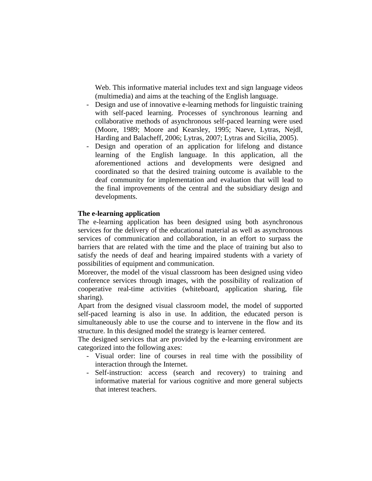Web. This informative material includes text and sign language videos (multimedia) and aims at the teaching of the English language.

- Design and use of innovative e-learning methods for linguistic training with self-paced learning. Processes of synchronous learning and collaborative methods of asynchronous self-paced learning were used (Moore, 1989; Moore and Kearsley, 1995; Naeve, Lytras, Nejdl, Harding and Balacheff, 2006; Lytras, 2007; Lytras and Sicilia, 2005).
- Design and operation of an application for lifelong and distance learning of the English language. In this application, all the aforementioned actions and developments were designed and coordinated so that the desired training outcome is available to the deaf community for implementation and evaluation that will lead to the final improvements of the central and the subsidiary design and developments.

## **The e-learning application**

The e-learning application has been designed using both asynchronous services for the delivery of the educational material as well as asynchronous services of communication and collaboration, in an effort to surpass the barriers that are related with the time and the place of training but also to satisfy the needs of deaf and hearing impaired students with a variety of possibilities of equipment and communication.

Moreover, the model of the visual classroom has been designed using video conference services through images, with the possibility of realization of cooperative real-time activities (whiteboard, application sharing, file sharing).

Apart from the designed visual classroom model, the model of supported self-paced learning is also in use. In addition, the educated person is simultaneously able to use the course and to intervene in the flow and its structure. In this designed model the strategy is learner centered.

The designed services that are provided by the e-learning environment are categorized into the following axes:

- Visual order: line of courses in real time with the possibility of interaction through the Internet.
- Self-instruction: access (search and recovery) to training and informative material for various cognitive and more general subjects that interest teachers.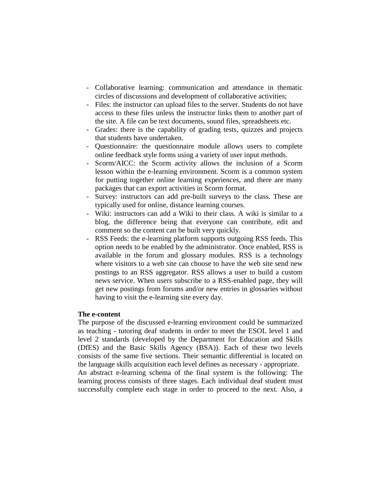- Collaborative learning: communication and attendance in thematic circles of discussions and development of collaborative activities;
- Files: the instructor can upload files to the server. Students do not have access to these files unless the instructor links them to another part of the site. A file can be text documents, sound files, spreadsheets etc.
- Grades: there is the capability of grading tests, quizzes and projects that students have undertaken.
- Questionnaire: the questionnaire module allows users to complete online feedback style forms using a variety of user input methods.
- Scorm/AICC: the Scorm activity allows the inclusion of a Scorm lesson within the e-learning environment. Scorm is a common system for putting together online learning experiences, and there are many packages that can export activities in Scorm format.
- Survey: instructors can add pre-built surveys to the class. These are typically used for online, distance learning courses.
- Wiki: instructors can add a Wiki to their class. A wiki is similar to a blog, the difference being that everyone can contribute, edit and comment so the content can be built very quickly.
- RSS Feeds: the e-learning platform supports outgoing RSS feeds. This option needs to be enabled by the administrator. Once enabled, RSS is available in the forum and glossary modules. RSS is a technology where visitors to a web site can choose to have the web site send new postings to an RSS aggregator. RSS allows a user to build a custom news service. When users subscribe to a RSS-enabled page, they will get new postings from forums and/or new entries in glossaries without having to visit the e-learning site every day.

## **The e-content**

The purpose of the discussed e-learning environment could be summarized as teaching - tutoring deaf students in order to meet the ESOL level 1 and level 2 standards (developed by the Department for Education and Skills (DfES) and the Basic Skills Agency (BSA)). Each of these two levels consists of the same five sections. Their semantic differential is located on the language skills acquisition each level defines as necessary - appropriate. An abstract e-learning schema of the final system is the following: The learning process consists of three stages. Each individual deaf student must successfully complete each stage in order to proceed to the next. Also, a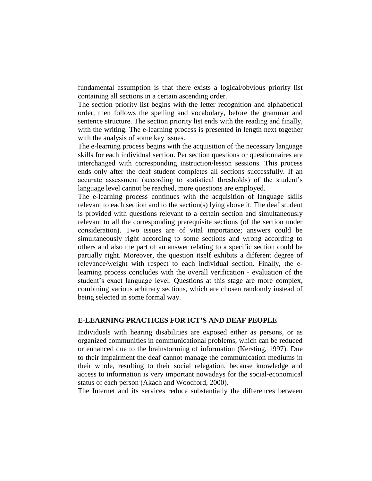fundamental assumption is that there exists a logical/obvious priority list containing all sections in a certain ascending order.

The section priority list begins with the letter recognition and alphabetical order, then follows the spelling and vocabulary, before the grammar and sentence structure. The section priority list ends with the reading and finally, with the writing. The e-learning process is presented in length next together with the analysis of some key issues.

The e-learning process begins with the acquisition of the necessary language skills for each individual section. Per section questions or questionnaires are interchanged with corresponding instruction/lesson sessions. This process ends only after the deaf student completes all sections successfully. If an accurate assessment (according to statistical thresholds) of the student"s language level cannot be reached, more questions are employed.

The e-learning process continues with the acquisition of language skills relevant to each section and to the section(s) lying above it. The deaf student is provided with questions relevant to a certain section and simultaneously relevant to all the corresponding prerequisite sections (of the section under consideration). Two issues are of vital importance; answers could be simultaneously right according to some sections and wrong according to others and also the part of an answer relating to a specific section could be partially right. Moreover, the question itself exhibits a different degree of relevance/weight with respect to each individual section. Finally, the elearning process concludes with the overall verification - evaluation of the student"s exact language level. Questions at this stage are more complex, combining various arbitrary sections, which are chosen randomly instead of being selected in some formal way.

## **E-LEARNING PRACTICES FOR ICT'S AND DEAF PEOPLE**

Individuals with hearing disabilities are exposed either as persons, or as organized communities in communicational problems, which can be reduced or enhanced due to the brainstorming of information (Kersting, 1997). Due to their impairment the deaf cannot manage the communication mediums in their whole, resulting to their social relegation, because knowledge and access to information is very important nowadays for the social-economical status of each person (Akach and Woodford, 2000).

The Internet and its services reduce substantially the differences between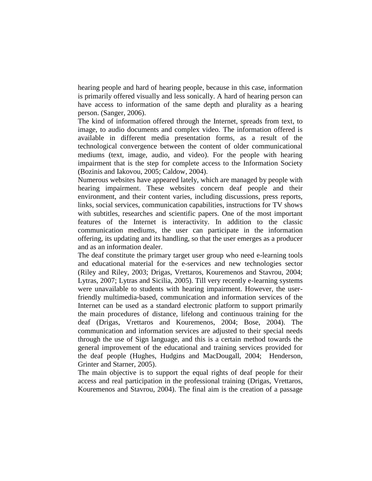hearing people and hard of hearing people, because in this case, information is primarily offered visually and less sonically. A hard of hearing person can have access to information of the same depth and plurality as a hearing person. (Sanger, 2006).

The kind of information offered through the Internet, spreads from text, to image, to audio documents and complex video. The information offered is available in different media presentation forms, as a result of the technological convergence between the content of older communicational mediums (text, image, audio, and video). For the people with hearing impairment that is the step for complete access to the Information Society (Bozinis and Iakovou, 2005; Caldow, 2004).

Numerous websites have appeared lately, which are managed by people with hearing impairment. These websites concern deaf people and their environment, and their content varies, including discussions, press reports, links, social services, communication capabilities, instructions for TV shows with subtitles, researches and scientific papers. One of the most important features of the Internet is interactivity. In addition to the classic communication mediums, the user can participate in the information offering, its updating and its handling, so that the user emerges as a producer and as an information dealer.

The deaf constitute the primary target user group who need e-learning tools and educational material for the e-services and new technologies sector (Riley and Riley, 2003; Drigas, Vrettaros, Kouremenos and Stavrou, 2004; Lytras, 2007; Lytras and Sicilia, 2005). Till very recently e-learning systems were unavailable to students with hearing impairment. However, the userfriendly multimedia-based, communication and information services of the Internet can be used as a standard electronic platform to support primarily the main procedures of distance, lifelong and continuous training for the deaf (Drigas, Vrettaros and Kouremenos, 2004; Bose, 2004). The communication and information services are adjusted to their special needs through the use of Sign language, and this is a certain method towards the general improvement of the educational and training services provided for the deaf people (Hughes, Hudgins and MacDougall, 2004; Henderson, Grinter and Starner, 2005).

The main objective is to support the equal rights of deaf people for their access and real participation in the professional training (Drigas, Vrettaros, Kouremenos and Stavrou, 2004). The final aim is the creation of a passage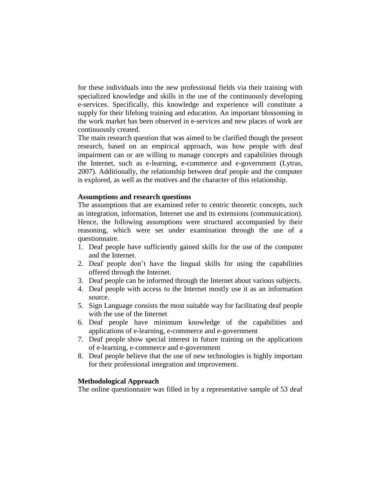for these individuals into the new professional fields via their training with specialized knowledge and skills in the use of the continuously developing e-services. Specifically, this knowledge and experience will constitute a supply for their lifelong training and education. An important blossoming in the work market has been observed in e-services and new places of work are continuously created.

The main research question that was aimed to be clarified though the present research, based on an empirical approach, was how people with deaf impairment can or are willing to manage concepts and capabilities through the Internet, such as e-learning, e-commerce and e-government (Lytras, 2007). Additionally, the relationship between deaf people and the computer is explored, as well as the motives and the character of this relationship.

#### **Assumptions and research questions**

The assumptions that are examined refer to centric theoretic concepts, such as integration, information, Internet use and its extensions (communication). Hence, the following assumptions were structured accompanied by their reasoning, which were set under examination through the use of a questionnaire.

- 1. Deaf people have sufficiently gained skills for the use of the computer and the Internet.
- 2. Deaf people don"t have the lingual skills for using the capabilities offered through the Internet.
- 3. Deaf people can be informed through the Internet about various subjects.
- 4. Deaf people with access to the Internet mostly use it as an information source.
- 5. Sign Language consists the most suitable way for facilitating deaf people with the use of the Internet
- 6. Deaf people have minimum knowledge of the capabilities and applications of e-learning, e-commerce and e-government
- 7. Deaf people show special interest in future training on the applications of e-learning, e-commerce and e-government
- 8. Deaf people believe that the use of new technologies is highly important for their professional integration and improvement.

## **Methodological Approach**

The online questionnaire was filled in by a representative sample of 53 deaf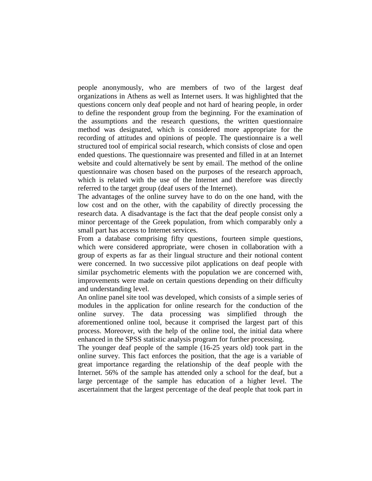people anonymously, who are members of two of the largest deaf organizations in Athens as well as Internet users. It was highlighted that the questions concern only deaf people and not hard of hearing people, in order to define the respondent group from the beginning. For the examination of the assumptions and the research questions, the written questionnaire method was designated, which is considered more appropriate for the recording of attitudes and opinions of people. The questionnaire is a well structured tool of empirical social research, which consists of close and open ended questions. The questionnaire was presented and filled in at an Internet website and could alternatively be sent by email. The method of the online questionnaire was chosen based on the purposes of the research approach, which is related with the use of the Internet and therefore was directly referred to the target group (deaf users of the Internet).

The advantages of the online survey have to do on the one hand, with the low cost and on the other, with the capability of directly processing the research data. A disadvantage is the fact that the deaf people consist only a minor percentage of the Greek population, from which comparably only a small part has access to Internet services.

From a database comprising fifty questions, fourteen simple questions, which were considered appropriate, were chosen in collaboration with a group of experts as far as their lingual structure and their notional content were concerned. In two successive pilot applications on deaf people with similar psychometric elements with the population we are concerned with, improvements were made on certain questions depending on their difficulty and understanding level.

An online panel site tool was developed, which consists of a simple series of modules in the application for online research for the conduction of the online survey. The data processing was simplified through the aforementioned online tool, because it comprised the largest part of this process. Moreover, with the help of the online tool, the initial data where enhanced in the SPSS statistic analysis program for further processing.

The younger deaf people of the sample (16-25 years old) took part in the online survey. This fact enforces the position, that the age is a variable of great importance regarding the relationship of the deaf people with the Internet. 56% of the sample has attended only a school for the deaf, but a large percentage of the sample has education of a higher level. The ascertainment that the largest percentage of the deaf people that took part in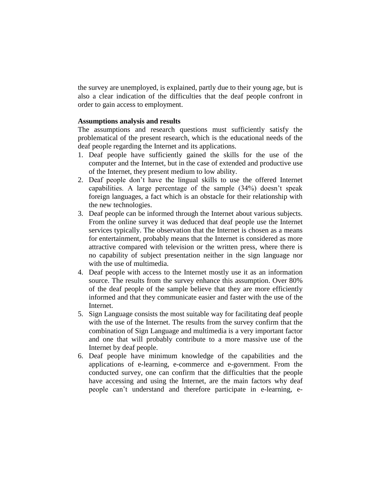the survey are unemployed, is explained, partly due to their young age, but is also a clear indication of the difficulties that the deaf people confront in order to gain access to employment.

## **Assumptions analysis and results**

The assumptions and research questions must sufficiently satisfy the problematical of the present research, which is the educational needs of the deaf people regarding the Internet and its applications.

- 1. Deaf people have sufficiently gained the skills for the use of the computer and the Internet, but in the case of extended and productive use of the Internet, they present medium to low ability.
- 2. Deaf people don"t have the lingual skills to use the offered Internet capabilities. A large percentage of the sample (34%) doesn"t speak foreign languages, a fact which is an obstacle for their relationship with the new technologies.
- 3. Deaf people can be informed through the Internet about various subjects. From the online survey it was deduced that deaf people use the Internet services typically. The observation that the Internet is chosen as a means for entertainment, probably means that the Internet is considered as more attractive compared with television or the written press, where there is no capability of subject presentation neither in the sign language nor with the use of multimedia.
- 4. Deaf people with access to the Internet mostly use it as an information source. The results from the survey enhance this assumption. Over 80% of the deaf people of the sample believe that they are more efficiently informed and that they communicate easier and faster with the use of the Internet.
- 5. Sign Language consists the most suitable way for facilitating deaf people with the use of the Internet. The results from the survey confirm that the combination of Sign Language and multimedia is a very important factor and one that will probably contribute to a more massive use of the Internet by deaf people.
- 6. Deaf people have minimum knowledge of the capabilities and the applications of e-learning, e-commerce and e-government. From the conducted survey, one can confirm that the difficulties that the people have accessing and using the Internet, are the main factors why deaf people can"t understand and therefore participate in e-learning, e-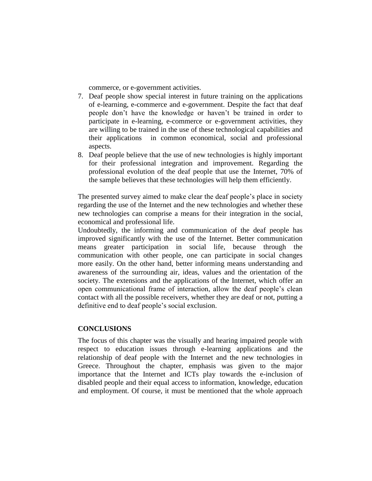commerce, or e-government activities.

- 7. Deaf people show special interest in future training on the applications of e-learning, e-commerce and e-government. Despite the fact that deaf people don"t have the knowledge or haven"t be trained in order to participate in e-learning, e-commerce or e-government activities, they are willing to be trained in the use of these technological capabilities and their applications in common economical, social and professional aspects.
- 8. Deaf people believe that the use of new technologies is highly important for their professional integration and improvement. Regarding the professional evolution of the deaf people that use the Internet, 70% of the sample believes that these technologies will help them efficiently.

The presented survey aimed to make clear the deaf people"s place in society regarding the use of the Internet and the new technologies and whether these new technologies can comprise a means for their integration in the social, economical and professional life.

Undoubtedly, the informing and communication of the deaf people has improved significantly with the use of the Internet. Better communication means greater participation in social life, because through the communication with other people, one can participate in social changes more easily. On the other hand, better informing means understanding and awareness of the surrounding air, ideas, values and the orientation of the society. The extensions and the applications of the Internet, which offer an open communicational frame of interaction, allow the deaf people"s clean contact with all the possible receivers, whether they are deaf or not, putting a definitive end to deaf people's social exclusion.

## **CONCLUSIONS**

The focus of this chapter was the visually and hearing impaired people with respect to education issues through e-learning applications and the relationship of deaf people with the Internet and the new technologies in Greece. Throughout the chapter, emphasis was given to the major importance that the Internet and ICTs play towards the e-inclusion of disabled people and their equal access to information, knowledge, education and employment. Of course, it must be mentioned that the whole approach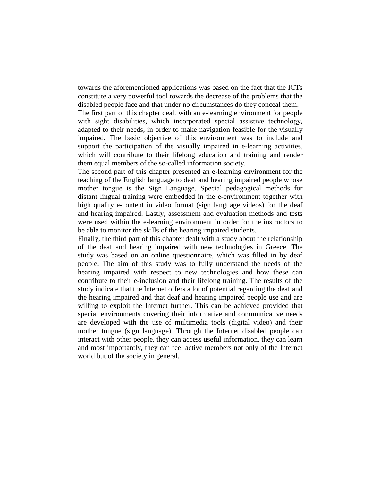towards the aforementioned applications was based on the fact that the ICTs constitute a very powerful tool towards the decrease of the problems that the disabled people face and that under no circumstances do they conceal them.

The first part of this chapter dealt with an e-learning environment for people with sight disabilities, which incorporated special assistive technology, adapted to their needs, in order to make navigation feasible for the visually impaired. The basic objective of this environment was to include and support the participation of the visually impaired in e-learning activities, which will contribute to their lifelong education and training and render them equal members of the so-called information society.

The second part of this chapter presented an e-learning environment for the teaching of the English language to deaf and hearing impaired people whose mother tongue is the Sign Language. Special pedagogical methods for distant lingual training were embedded in the e-environment together with high quality e-content in video format (sign language videos) for the deaf and hearing impaired. Lastly, assessment and evaluation methods and tests were used within the e-learning environment in order for the instructors to be able to monitor the skills of the hearing impaired students.

Finally, the third part of this chapter dealt with a study about the relationship of the deaf and hearing impaired with new technologies in Greece. The study was based on an online questionnaire, which was filled in by deaf people. The aim of this study was to fully understand the needs of the hearing impaired with respect to new technologies and how these can contribute to their e-inclusion and their lifelong training. The results of the study indicate that the Internet offers a lot of potential regarding the deaf and the hearing impaired and that deaf and hearing impaired people use and are willing to exploit the Internet further. This can be achieved provided that special environments covering their informative and communicative needs are developed with the use of multimedia tools (digital video) and their mother tongue (sign language). Through the Internet disabled people can interact with other people, they can access useful information, they can learn and most importantly, they can feel active members not only of the Internet world but of the society in general.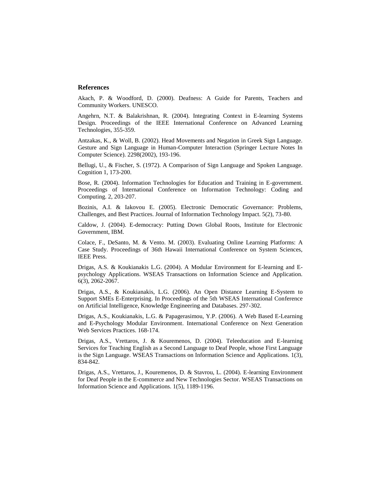#### **References**

Akach, P. & Woodford, D. (2000). Deafness: A Guide for Parents, Teachers and Community Workers. UNESCO.

Angehrn, N.T. & Balakrishnan, R. (2004). Integrating Context in E-learning Systems Design. Proceedings of the IEEE International Conference on Advanced Learning Technologies, 355-359.

Antzakas, K., & Woll, B. (2002). Head Movements and Negation in Greek Sign Language. Gesture and Sign Language in Human-Computer Interaction (Springer Lecture Notes In Computer Science). 2298(2002), 193-196.

Bellugi, U., & Fischer, S. (1972). A Comparison of Sign Language and Spoken Language. Cognition 1, 173-200.

Bose, R. (2004). Information Technologies for Education and Training in E-government. Proceedings of International Conference on Information Technology: Coding and Computing. 2, 203-207.

Bozinis, A.I. & Iakovou E. (2005). Electronic Democratic Governance: Problems, Challenges, and Best Practices. Journal of Information Technology Impact. 5(2), 73-80.

Caldow, J. (2004). E-democracy: Putting Down Global Roots, Institute for Electronic Government, IBM.

Colace, F., DeSanto, M. & Vento. M. (2003). Evaluating Online Learning Platforms: A Case Study. Proceedings of 36th Hawaii International Conference on System Sciences, IEEE Press.

Drigas, A.S. & Koukianakis L.G. (2004). A Modular Environment for E-learning and Epsychology Applications. WSEAS Transactions on Information Science and Application. 6(3), 2062-2067.

Drigas, A.S., & Koukianakis, L.G. (2006). An Open Distance Learning E-System to Support SMEs E-Enterprising. In Proceedings of the 5th WSEAS International Conference on Artificial Intelligence, Knowledge Engineering and Databases. 297-302.

Drigas, A.S., Koukianakis, L.G. & Papagerasimou, Y.P. (2006). A Web Based E-Learning and E-Psychology Modular Environment. International Conference on Next Generation Web Services Practices. 168-174.

Drigas, A.S., Vrettaros, J. & Kouremenos, D. (2004). Teleeducation and E-learning Services for Teaching English as a Second Language to Deaf People, whose First Language is the Sign Language. WSEAS Transactions on Information Science and Applications. 1(3), 834-842.

Drigas, A.S., Vrettaros, J., Kouremenos, D. & Stavrou, L. (2004). E-learning Environment for Deaf People in the E-commerce and New Technologies Sector. WSEAS Transactions on Information Science and Applications. 1(5), 1189-1196.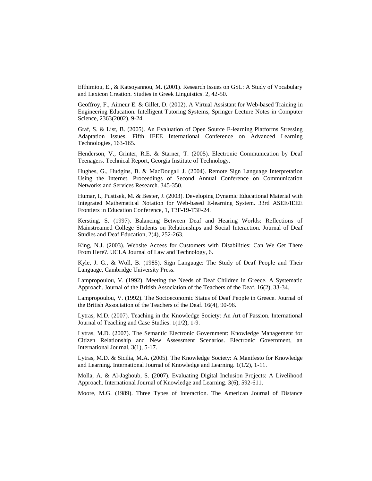Efthimiou, E., & Katsoyannou, M. (2001). Research Issues on GSL: A Study of Vocabulary and Lexicon Creation. Studies in Greek Linguistics. 2, 42-50.

Geoffroy, F., Aimeur E. & Gillet, D. (2002). A Virtual Assistant for Web-based Training in Engineering Education. Intelligent Tutoring Systems, Springer Lecture Notes in Computer Science, 2363(2002), 9-24.

Graf, S. & List, B. (2005). An Evaluation of Open Source E-learning Platforms Stressing Adaptation Issues. Fifth IEEE International Conference on Advanced Learning Technologies, 163-165.

Henderson, V., Grinter, R.E. & Starner, T. (2005). Electronic Communication by Deaf Teenagers. Technical Report, Georgia Institute of Technology.

Hughes, G., Hudgins, B. & MacDougall J. (2004). Remote Sign Language Interpretation Using the Internet. Proceedings of Second Annual Conference on Communication Networks and Services Research. 345-350.

Humar, I., Pustisek, M. & Bester, J. (2003). Developing Dynamic Educational Material with Integrated Mathematical Notation for Web-based E-learning System. 33rd ASEE/IEEE Frontiers in Education Conference, 1, T3F-19-T3F-24.

Kersting, S. (1997). Balancing Between Deaf and Hearing Worlds: Reflections of Mainstreamed College Students on Relationships and Social Interaction. Journal of Deaf Studies and Deaf Education, 2(4), 252-263.

King, N.J. (2003). Website Access for Customers with Disabilities: Can We Get There From Here?. UCLA Journal of Law and Technology, 6.

Kyle, J. G., & Woll, B. (1985). Sign Language: The Study of Deaf People and Their Language, Cambridge University Press.

Lampropoulou, V. (1992). Meeting the Needs of Deaf Children in Greece. A Systematic Approach. Journal of the British Association of the Teachers of the Deaf. 16(2), 33-34.

Lampropoulou, V. (1992). The Socioeconomic Status of Deaf People in Greece. Journal of the British Association of the Teachers of the Deaf. 16(4), 90-96.

Lytras, M.D. (2007). Teaching in the Knowledge Society: An Art of Passion. International Journal of Teaching and Case Studies. 1(1/2), 1-9.

Lytras, M.D. (2007). The Semantic Electronic Government: Knowledge Management for Citizen Relationship and New Assessment Scenarios. Electronic Government, an International Journal, 3(1), 5-17.

Lytras, M.D. & Sicilia, M.A. (2005). The Knowledge Society: A Manifesto for Knowledge and Learning. International Journal of Knowledge and Learning. 1(1/2), 1-11.

Molla, A. & Al-Jaghoub, S. (2007). Evaluating Digital Inclusion Projects: A Livelihood Approach. International Journal of Knowledge and Learning. 3(6), 592-611.

Moore, M.G. (1989). Three Types of Interaction. The American Journal of Distance